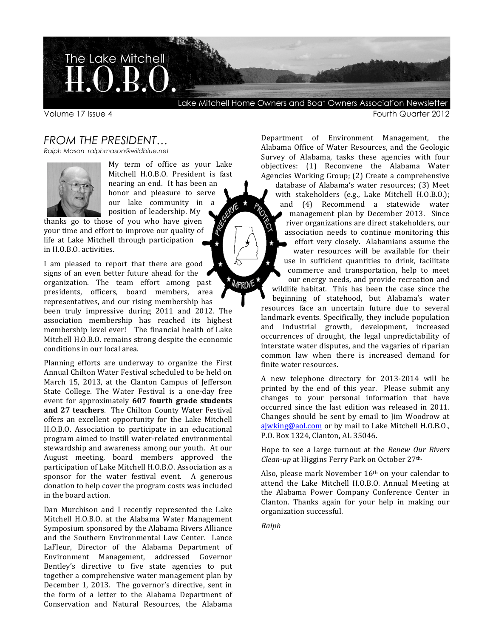

Lake Mitchell Home Owners and Boat Owners Association Newsletter

Volume 17 Issue 4 Fourth Quarter 2012

## *FROM THE PRESIDENT…*

*Ralph Mason ralphmason@wildblue.net*



My term of office as your Lake Mitchell H.O.B.O. President is fast nearing an end. It has been an honor and pleasure to serve our lake community in a position of leadership. My

thanks go to those of you who have given your time and effort to improve our quality of life at Lake Mitchell through participation in H.O.B.O. activities.

I am pleased to report that there are good signs of an even better future ahead for the organization. The team effort among past **IMPRONE** presidents, officers, board members, area representatives, and our rising membership has been truly impressive during 2011 and 2012. The association membership has reached its highest membership level ever! The financial health of Lake Mitchell H.O.B.O. remains strong despite the economic conditions in our local area.

Planning efforts are underway to organize the First Annual Chilton Water Festival scheduled to be held on March 15, 2013, at the Clanton Campus of Jefferson State College. The Water Festival is a one-day free event for approximately 607 fourth grade students and 27 teachers. The Chilton County Water Festival offers an excellent opportunity for the Lake Mitchell H.O.B.O. Association to participate in an educational program aimed to instill water-related environmental stewardship and awareness among our youth. At our August meeting, board members approved the participation of Lake Mitchell H.O.B.O. Association as a sponsor for the water festival event. A generous donation to help cover the program costs was included in the board action.

Dan Murchison and I recently represented the Lake Mitchell H.O.B.O. at the Alabama Water Management Symposium sponsored by the Alabama Rivers Alliance and the Southern Environmental Law Center. Lance LaFleur, Director of the Alabama Department of Environment Management, addressed Governor Bentley's directive to five state agencies to put together a comprehensive water management plan by December 1, 2013. The governor's directive, sent in the form of a letter to the Alabama Department of Conservation and Natural Resources, the Alabama 

Department of Environment Management, the Alabama Office of Water Resources, and the Geologic Survey of Alabama, tasks these agencies with four objectives: (1) Reconvene the Alabama Water Agencies Working Group; (2) Create a comprehensive database of Alabama's water resources: (3) Meet with stakeholders (e.g., Lake Mitchell H.O.B.O.); and (4) Recommend a statewide water management plan by December 2013. Since river organizations are direct stakeholders, our association needs to continue monitoring this effort very closely. Alabamians assume the water resources will be available for their use in sufficient quantities to drink, facilitate commerce and transportation, help to meet our energy needs, and provide recreation and wildlife habitat. This has been the case since the beginning of statehood, but Alabama's water resources face an uncertain future due to several landmark events. Specifically, they include population and industrial growth, development, increased occurrences of drought, the legal unpredictability of interstate water disputes, and the vagaries of riparian common law when there is increased demand for finite water resources.

A new telephone directory for 2013-2014 will be printed by the end of this year. Please submit any changes to your personal information that have occurred since the last edition was released in 2011. Changes should be sent by email to Jim Woodrow at ajwking@aol.com or by mail to Lake Mitchell H.O.B.O., P.O. Box 1324, Clanton, AL 35046.

Hope to see a large turnout at the *Renew Our Rivers Clean-up* at Higgins Ferry Park on October 27<sup>th.</sup>

Also, please mark November  $16<sup>th</sup>$  on your calendar to attend the Lake Mitchell H.O.B.O. Annual Meeting at the Alabama Power Company Conference Center in Clanton. Thanks again for your help in making our organization successful.

*Ralph*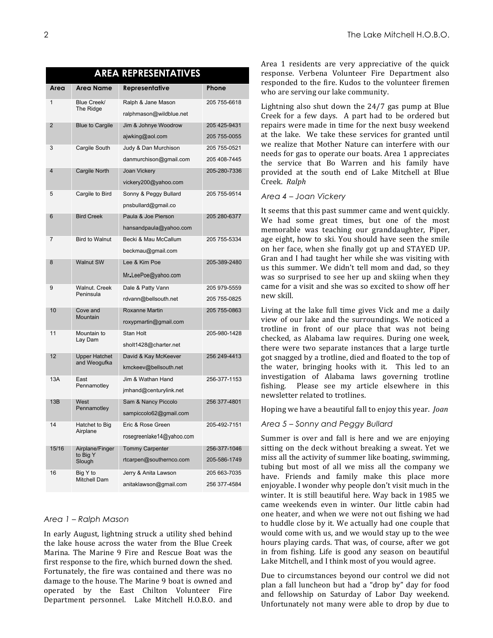|                |                                       | <b>AREA REPRESENTATIVES</b> |              |
|----------------|---------------------------------------|-----------------------------|--------------|
| Area           | Area Name                             | <b>Representative</b>       | Phone        |
| 1              | Blue Creek/<br>The Ridge              | Ralph & Jane Mason          | 205 755-6618 |
|                |                                       | ralphmason@wildblue.net     |              |
| $\overline{2}$ | <b>Blue to Cargile</b>                | Jim & Johnye Woodrow        | 205 425-9431 |
|                |                                       | ajwking@aol.com             | 205 755-0055 |
| 3              | Cargile South                         | Judy & Dan Murchison        | 205 755-0521 |
|                |                                       | danmurchison@gmail.com      | 205 408-7445 |
| 4              | Cargile North                         | Joan Vickery                | 205-280-7336 |
|                |                                       | vickery200@yahoo.com        |              |
| 5              | Cargile to Bird                       | Sonny & Peggy Bullard       | 205 755-9514 |
|                |                                       | pnsbullard@gmail.co         |              |
| 6              | <b>Bird Creek</b>                     | Paula & Joe Pierson         | 205 280-6377 |
|                |                                       | hansandpaula@yahoo.com      |              |
| 7              | <b>Bird to Walnut</b>                 | Becki & Mau McCallum        | 205 755-5334 |
|                |                                       | beckmau@gmail.com           |              |
| 8              | <b>Walnut SW</b>                      | Lee & Kim Poe               | 205-389-2480 |
|                |                                       | Mr.LeePoe@yahoo.com         |              |
| 9              | <b>Walnut. Creek</b><br>Peninsula     | Dale & Patty Vann           | 205 979-5559 |
|                |                                       | rdvann@bellsouth.net        | 205 755-0825 |
| 10             | Cove and<br>Mountain                  | <b>Roxanne Martin</b>       | 205 755-0863 |
|                |                                       | roxypmartin@gmail.com       |              |
| 11             | Mountain to<br>Lay Dam                | Stan Holt                   | 205-980-1428 |
|                |                                       | sholt1428@charter.net       |              |
| 12             | <b>Upper Hatchet</b><br>and Weogufka  | David & Kay McKeever        | 256 249-4413 |
|                |                                       | kmckeev@bellsouth.net       |              |
| 13A            | East<br>Pennamotley                   | Jim & Wathan Hand           | 256-377-1153 |
|                |                                       | jmhand@centurylink.net      |              |
| 13B            | West<br>Pennamotley                   | Sam & Nancy Piccolo         | 256 377-4801 |
|                |                                       | sampiccolo62@gmail.com      |              |
| 14             | Hatchet to Big<br>Airplane            | Eric & Rose Green           | 205-492-7151 |
|                |                                       | rosegreenlake14@yahoo.com   |              |
| 15/16          | Airplane/Finger<br>to Big Y<br>Slough | <b>Tommy Carpenter</b>      | 256-377-1046 |
|                |                                       | rtcarpen@southernco.com     | 205-586-1749 |
| 16             | Big Y to<br>Mitchell Dam              | Jerry & Anita Lawson        | 205 663-7035 |
|                |                                       | anitaklawson@gmail.com      | 256 377-4584 |

### *Area 1 – Ralph Mason*

In early August, lightning struck a utility shed behind the lake house across the water from the Blue Creek Marina. The Marine 9 Fire and Rescue Boat was the first response to the fire, which burned down the shed. Fortunately, the fire was contained and there was no damage to the house. The Marine 9 boat is owned and operated by the East Chilton Volunteer Fire Department personnel. Lake Mitchell H.O.B.O. and

Area 1 residents are very appreciative of the quick response. Verbena Volunteer Fire Department also responded to the fire. Kudos to the volunteer firemen who are serving our lake community.

Lightning also shut down the  $24/7$  gas pump at Blue Creek for a few days. A part had to be ordered but repairs were made in time for the next busy weekend at the lake. We take these services for granted until we realize that Mother Nature can interfere with our needs for gas to operate our boats. Area 1 appreciates the service that Bo Warren and his family have provided at the south end of Lake Mitchell at Blue Creek. *Ralph*

#### *Area 4 – Joan Vickery*

It seems that this past summer came and went quickly. We had some great times, but one of the most memorable was teaching our granddaughter, Piper, age eight, how to ski. You should have seen the smile on her face, when she finally got up and STAYED UP. Gran and I had taught her while she was visiting with us this summer. We didn't tell mom and dad, so they was so surprised to see her up and skiing when they came for a visit and she was so excited to show off her new skill.

Living at the lake full time gives Vick and me a daily view of our lake and the surroundings. We noticed a trotline in front of our place that was not being checked, as Alabama law requires. During one week, there were two separate instances that a large turtle got snagged by a trotline, died and floated to the top of the water, bringing hooks with it. This led to an investigation of Alabama laws governing trotline fishing. Please see my article elsewhere in this newsletter related to trotlines.

Hoping we have a beautiful fall to enjoy this year. *Joan* 

#### *Area 5 – Sonny and Peggy Bullard*

Summer is over and fall is here and we are enjoying sitting on the deck without breaking a sweat. Yet we miss all the activity of summer like boating, swimming, tubing but most of all we miss all the company we have. Friends and family make this place more enjoyable. I wonder why people don't visit much in the winter. It is still beautiful here. Way back in 1985 we came weekends even in winter. Our little cabin had one heater, and when we were not out fishing we had to huddle close by it. We actually had one couple that would come with us, and we would stay up to the wee hours playing cards. That was, of course, after we got in from fishing. Life is good any season on beautiful Lake Mitchell, and I think most of you would agree.

Due to circumstances beyond our control we did not plan a fall luncheon but had a "drop by" day for food and fellowship on Saturday of Labor Day weekend. Unfortunately not many were able to drop by due to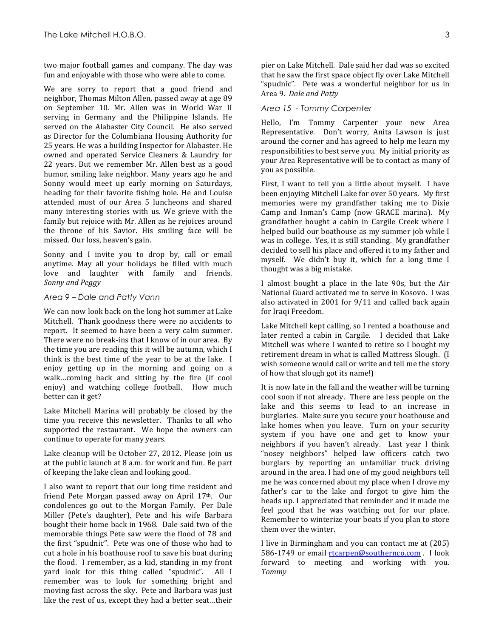two major football games and company. The day was fun and enjoyable with those who were able to come.

We are sorry to report that a good friend and neighbor, Thomas Milton Allen, passed away at age 89 on September 10. Mr. Allen was in World War II serving in Germany and the Philippine Islands. He served on the Alabaster City Council. He also served as Director for the Columbiana Housing Authority for 25 years. He was a building Inspector for Alabaster. He owned and operated Service Cleaners & Laundry for 22 years. But we remember Mr. Allen best as a good humor, smiling lake neighbor. Many years ago he and Sonny would meet up early morning on Saturdays, heading for their favorite fishing hole. He and Louise attended most of our Area 5 luncheons and shared many interesting stories with us. We grieve with the family but rejoice with Mr. Allen as he rejoices around the throne of his Savior. His smiling face will be missed. Our loss, heaven's gain.

Sonny and I invite you to drop by, call or email anytime. May all your holidays be filled with much love and laughter with family and friends. *Sonny and Peggy*

### *Area 9 – Dale and Patty Vann*

We can now look back on the long hot summer at Lake Mitchell. Thank goodness there were no accidents to report. It seemed to have been a very calm summer. There were no break-ins that I know of in our area. By the time you are reading this it will be autumn, which I think is the best time of the year to be at the lake. I enjoy getting up in the morning and going on a walk...coming back and sitting by the fire (if cool enjoy) and watching college football. How much better can it get?

Lake Mitchell Marina will probably be closed by the time you receive this newsletter. Thanks to all who supported the restaurant. We hope the owners can continue to operate for many years.

Lake cleanup will be October 27, 2012. Please join us at the public launch at 8 a.m. for work and fun. Be part of keeping the lake clean and looking good.

I also want to report that our long time resident and friend Pete Morgan passed away on April 17<sup>th</sup>. Our condolences go out to the Morgan Family. Per Dale Miller (Pete's daughter), Pete and his wife Barbara bought their home back in 1968. Dale said two of the memorable things Pete saw were the flood of 78 and the first "spudnic". Pete was one of those who had to cut a hole in his boathouse roof to save his boat during the flood. I remember, as a kid, standing in my front yard look for this thing called "spudnic". All I remember was to look for something bright and moving fast across the sky. Pete and Barbara was just like the rest of us, except they had a better seat...their

pier on Lake Mitchell. Dale said her dad was so excited that he saw the first space object fly over Lake Mitchell "spudnic". Pete was a wonderful neighbor for us in Area 9. *Dale and Patty*

### *Area 15 - Tommy Carpenter*

Hello, I'm Tommy Carpenter your new Area Representative. Don't worry, Anita Lawson is just around the corner and has agreed to help me learn my responsibilities to best serve you. My initial priority as your Area Representative will be to contact as many of you as possible.

First, I want to tell you a little about myself. I have been enjoying Mitchell Lake for over 50 years. My first memories were my grandfather taking me to Dixie Camp and Inman's Camp (now GRACE marina). My grandfather bought a cabin in Cargile Creek where I helped build our boathouse as my summer job while I was in college. Yes, it is still standing. My grandfather decided to sell his place and offered it to my father and myself. We didn't buy it, which for a long time I thought was a big mistake.

I almost bought a place in the late 90s, but the Air National Guard activated me to serve in Kosovo. I was also activated in 2001 for  $9/11$  and called back again for Iraqi Freedom.

Lake Mitchell kept calling, so I rented a boathouse and later rented a cabin in Cargile. I decided that Lake Mitchell was where I wanted to retire so I bought my retirement dream in what is called Mattress Slough. (I wish someone would call or write and tell me the story of how that slough got its name!)

It is now late in the fall and the weather will be turning cool soon if not already. There are less people on the lake and this seems to lead to an increase in burglaries. Make sure you secure your boathouse and lake homes when you leave. Turn on your security system if you have one and get to know your neighbors if you haven't already. Last year I think "nosey neighbors" helped law officers catch two burglars by reporting an unfamiliar truck driving around in the area. I had one of my good neighbors tell me he was concerned about my place when I drove my father's car to the lake and forgot to give him the heads up. I appreciated that reminder and it made me feel good that he was watching out for our place. Remember to winterize your boats if you plan to store them over the winter.

I live in Birmingham and you can contact me at (205) 586-1749 or email rtcarpen@southernco.com . I look forward to meeting and working with you. *Tommy*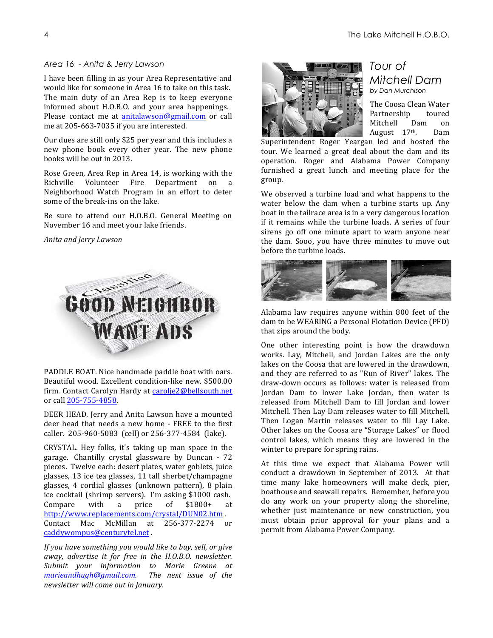### *Area 16 - Anita & Jerry Lawson*

I have been filling in as your Area Representative and would like for someone in Area 16 to take on this task. The main duty of an Area Rep is to keep everyone informed about H.O.B.O. and your area happenings. Please contact me at anitalawson@gmail.com or call me at 205-663-7035 if you are interested.

Our dues are still only \$25 per year and this includes a new phone book every other year. The new phone books will be out in 2013.

Rose Green, Area Rep in Area 14, is working with the Richville Volunteer Fire Department on a Neighborhood Watch Program in an effort to deter some of the break-ins on the lake.

Be sure to attend our H.O.B.O. General Meeting on November 16 and meet your lake friends.

*Anita and Jerry Lawson* 



PADDLE BOAT. Nice handmade paddle boat with oars. Beautiful wood. Excellent condition-like new. \$500.00 firm. Contact Carolyn Hardy at carolje2@bellsouth.net or call 205-755-4858.

DEER HEAD. Jerry and Anita Lawson have a mounted deer head that needs a new home - FREE to the first caller. 205-960-5083 (cell) or 256-377-4584 (lake).

CRYSTAL. Hey folks, it's taking up man space in the garage. Chantilly crystal glassware by Duncan - 72 pieces. Twelve each: desert plates, water goblets, juice glasses, 13 ice tea glasses, 11 tall sherbet/champagne glasses, 4 cordial glasses (unknown pattern), 8 plain ice cocktail (shrimp servers). I'm asking \$1000 cash. Compare with a price of  $$1800+$  at http://www.replacements.com/crystal/DUN02.htm . Contact Mac McMillan at 256-377-2274 or caddywompus@centurytel.net .

If you have something you would like to buy, sell, or give *away, advertise it for free in the H.O.B.O. newsletter. Submit your information to Marie Greene at marieandhugh@gmail.com.* The next issue of the *newsletter will come out in January.* 



### *Tour of Mitchell Dam by Dan Murchison*

The Coosa Clean Water Partnership toured Mitchell Dam on August 17<sup>th</sup>. Dam

Superintendent Roger Yeargan led and hosted the tour. We learned a great deal about the dam and its operation. Roger and Alabama Power Company furnished a great lunch and meeting place for the group.

We observed a turbine load and what happens to the water below the dam when a turbine starts up. Any boat in the tailrace area is in a very dangerous location if it remains while the turbine loads. A series of four sirens go off one minute apart to warn anyone near the dam. Sooo, you have three minutes to move out before the turbine loads.



Alabama law requires anyone within 800 feet of the dam to be WEARING a Personal Flotation Device (PFD) that zips around the body.

One other interesting point is how the drawdown works. Lay, Mitchell, and Jordan Lakes are the only lakes on the Coosa that are lowered in the drawdown, and they are referred to as "Run of River" lakes. The draw-down occurs as follows: water is released from Jordan Dam to lower Lake Jordan, then water is released from Mitchell Dam to fill Jordan and lower Mitchell. Then Lay Dam releases water to fill Mitchell. Then Logan Martin releases water to fill Lay Lake. Other lakes on the Coosa are "Storage Lakes" or flood control lakes, which means they are lowered in the winter to prepare for spring rains.

At this time we expect that Alabama Power will conduct a drawdown in September of 2013. At that time many lake homeowners will make deck, pier, boathouse and seawall repairs. Remember, before you do any work on your property along the shoreline, whether just maintenance or new construction, you must obtain prior approval for your plans and a permit from Alabama Power Company.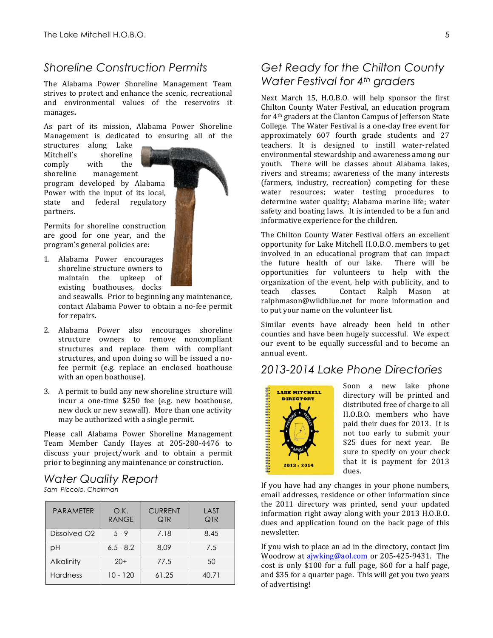### *Shoreline Construction Permits*

The Alabama Power Shoreline Management Team strives to protect and enhance the scenic, recreational and environmental values of the reservoirs it manages**.**

As part of its mission, Alabama Power Shoreline Management is dedicated to ensuring all of the

structures along Lake Mitchell's shoreline comply with the shoreline management program developed by Alabama Power with the input of its local, state and federal regulatory partners.



Permits for shoreline construction are good for one year, and the program's general policies are:

1. Alabama Power encourages shoreline structure owners to maintain the upkeep of existing boathouses, docks

> and seawalls. Prior to beginning any maintenance, contact Alabama Power to obtain a no-fee permit for repairs.

- 2. Alabama Power also encourages shoreline structure owners to remove noncompliant structures and replace them with compliant structures, and upon doing so will be issued a nofee permit (e.g. replace an enclosed boathouse with an open boathouse).
- 3. A permit to build any new shoreline structure will incur a one-time \$250 fee (e.g. new boathouse, new dock or new seawall). More than one activity may be authorized with a single permit.

Please call Alabama Power Shoreline Management Team Member Candy Hayes at 205-280-4476 to discuss your project/work and to obtain a permit prior to beginning any maintenance or construction.

### *Water Quality Report Sam Piccolo, Chairman*

| <b>PARAMETER</b>         | O.K.<br><b>RANGE</b> | <b>CURRENT</b><br>QTR | LAST<br>QTR |
|--------------------------|----------------------|-----------------------|-------------|
| Dissolved O <sub>2</sub> | $5 - 9$              | 7.18                  | 8.45        |
| рH                       | $6.5 - 8.2$          | 8.09                  | 7.5         |
| Alkalinity               | $20+$                | 77.5                  | 50          |
| <b>Hardness</b>          | 10 - 120             | 61.25                 | 40.71       |

## *Get Ready for the Chilton County Water Festival for 4th graders*

Next March 15, H.O.B.O. will help sponsor the first Chilton County Water Festival, an education program for 4<sup>th</sup> graders at the Clanton Campus of Jefferson State College. The Water Festival is a one-day free event for approximately 607 fourth grade students and 27 teachers. It is designed to instill water-related environmental stewardship and awareness among our youth. There will be classes about Alabama lakes, rivers and streams; awareness of the many interests (farmers, industry, recreation) competing for these water resources; water testing procedures to determine water quality; Alabama marine life; water safety and boating laws. It is intended to be a fun and informative experience for the children.

The Chilton County Water Festival offers an excellent opportunity for Lake Mitchell H.O.B.O. members to get involved in an educational program that can impact the future health of our lake. There will be opportunities for volunteers to help with the organization of the event, help with publicity, and to teach classes. Contact Ralph Mason at ralphmason@wildblue.net for more information and to put your name on the volunteer list.

Similar events have already been held in other counties and have been hugely successful. We expect our event to be equally successful and to become an annual event.

## *2013-2014 Lake Phone Directories*



Soon a new lake phone directory will be printed and distributed free of charge to all H.O.B.O. members who have paid their dues for 2013. It is not too early to submit your \$25 dues for next year. Be sure to specify on your check that it is payment for 2013 dues. 

If you have had any changes in your phone numbers, email addresses, residence or other information since the 2011 directory was printed, send your updated information right away along with your 2013 H.O.B.O. dues and application found on the back page of this newsletter.

If you wish to place an ad in the directory, contact  $\lim$ Woodrow at ajwking@aol.com or 205-425-9431. The  $cost$  is only \$100 for a full page, \$60 for a half page, and \$35 for a quarter page. This will get you two years of advertising!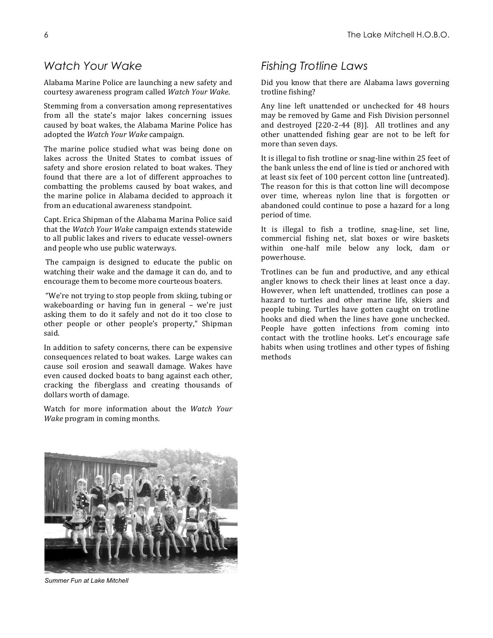# *Watch Your Wake*

Alabama Marine Police are launching a new safety and courtesy awareness program called *Watch Your Wake*.

Stemming from a conversation among representatives from all the state's major lakes concerning issues caused by boat wakes, the Alabama Marine Police has adopted the *Watch Your Wake* campaign.

The marine police studied what was being done on lakes across the United States to combat issues of safety and shore erosion related to boat wakes. They found that there are a lot of different approaches to combatting the problems caused by boat wakes, and the marine police in Alabama decided to approach it from an educational awareness standpoint.

Capt. Erica Shipman of the Alabama Marina Police said that the *Watch Your Wake* campaign extends statewide to all public lakes and rivers to educate vessel-owners and people who use public waterways.

The campaign is designed to educate the public on watching their wake and the damage it can do, and to encourage them to become more courteous boaters.

"We're not trying to stop people from skiing, tubing or wakeboarding or having fun in general - we're just asking them to do it safely and not do it too close to other people or other people's property," Shipman said.

In addition to safety concerns, there can be expensive consequences related to boat wakes. Large wakes can cause soil erosion and seawall damage. Wakes have even caused docked boats to bang against each other, cracking the fiberglass and creating thousands of dollars worth of damage.

Watch for more information about the *Watch Your Wake* program in coming months.

# *Fishing Trotline Laws*

Did you know that there are Alabama laws governing trotline fishing?

Any line left unattended or unchecked for 48 hours may be removed by Game and Fish Division personnel and destroyed  $[220-2-44 (8)]$ . All trotlines and any other unattended fishing gear are not to be left for more than seven days.

It is illegal to fish trotline or snag-line within 25 feet of the bank unless the end of line is tied or anchored with at least six feet of 100 percent cotton line (untreated). The reason for this is that cotton line will decompose over time, whereas nylon line that is forgotten or abandoned could continue to pose a hazard for a long period of time.

It is illegal to fish a trotline, snag-line, set line, commercial fishing net, slat boxes or wire baskets within one-half mile below any lock, dam or powerhouse. 

Trotlines can be fun and productive, and any ethical angler knows to check their lines at least once a day. However, when left unattended, trotlines can pose a hazard to turtles and other marine life, skiers and people tubing. Turtles have gotten caught on trotline hooks and died when the lines have gone unchecked. People have gotten infections from coming into contact with the trotline hooks. Let's encourage safe habits when using trotlines and other types of fishing methods



*Summer Fun at Lake Mitchell*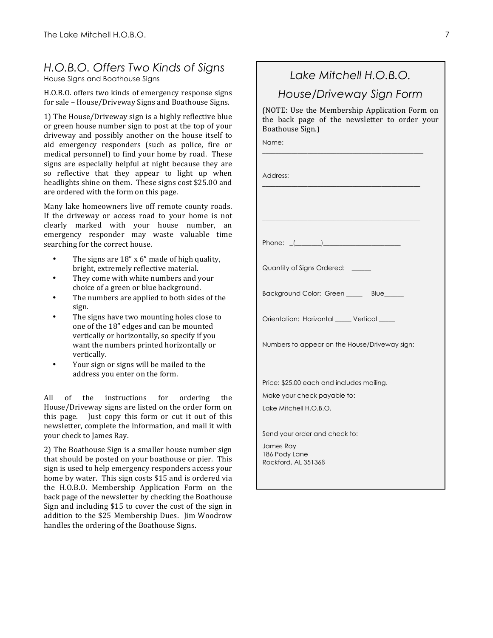# *H.O.B.O. Offers Two Kinds of Signs*

House Signs and Boathouse Signs

H.O.B.O. offers two kinds of emergency response signs for sale - House/Driveway Signs and Boathouse Signs.

1) The House/Driveway sign is a highly reflective blue or green house number sign to post at the top of your driveway and possibly another on the house itself to aid emergency responders (such as police, fire or medical personnel) to find your home by road. These signs are especially helpful at night because they are so reflective that they appear to light up when headlights shine on them. These signs cost \$25.00 and are ordered with the form on this page.

Many lake homeowners live off remote county roads. If the driveway or access road to your home is not clearly marked with your house number, an emergency responder may waste valuable time searching for the correct house.

- The signs are  $18''$  x 6" made of high quality, bright, extremely reflective material.
- They come with white numbers and your choice of a green or blue background.
- The numbers are applied to both sides of the sign.
- The signs have two mounting holes close to one of the 18" edges and can be mounted vertically or horizontally, so specify if you want the numbers printed horizontally or vertically.
- Your sign or signs will be mailed to the address you enter on the form.

All of the instructions for ordering the House/Driveway signs are listed on the order form on this page. Just copy this form or cut it out of this newsletter, complete the information, and mail it with your check to James Ray.

2) The Boathouse Sign is a smaller house number sign that should be posted on your boathouse or pier. This sign is used to help emergency responders access your home by water. This sign costs \$15 and is ordered via the H.O.B.O. Membership Application Form on the back page of the newsletter by checking the Boathouse Sign and including \$15 to cover the cost of the sign in addition to the \$25 Membership Dues. Jim Woodrow handles the ordering of the Boathouse Signs.

| Lake Mitchell H.O.B.O.                                                                                             |  |
|--------------------------------------------------------------------------------------------------------------------|--|
| House/Driveway Sign Form                                                                                           |  |
| (NOTE: Use the Membership Application Form on<br>the back page of the newsletter to order your<br>Boathouse Sign.) |  |
| Name:                                                                                                              |  |
| Address:                                                                                                           |  |
|                                                                                                                    |  |
|                                                                                                                    |  |
|                                                                                                                    |  |
| Quantity of Signs Ordered: _____                                                                                   |  |
| Background Color: Green _____ Blue_____                                                                            |  |
| Orientation: Horizontal _____ Vertical ____                                                                        |  |
| Numbers to appear on the House/Driveway sign:                                                                      |  |
| Price: \$25.00 each and includes mailing.                                                                          |  |
| Make your check payable to:                                                                                        |  |
| Lake Mitchell H.O.B.O.                                                                                             |  |
| Send your order and check to:                                                                                      |  |
| James Ray<br>186 Pody Lane<br>Rockford, AL 35136B                                                                  |  |
|                                                                                                                    |  |